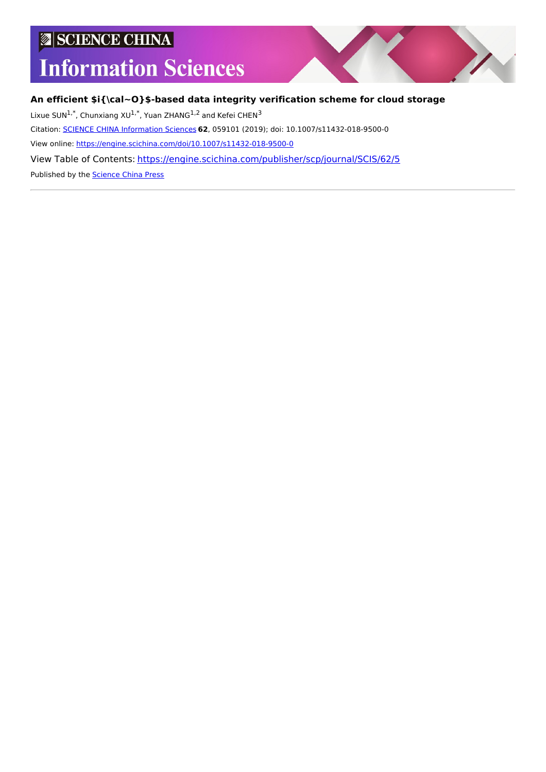## **SCIENCE CHINA**

# **Information Sciences**



#### **An efficient \$i{\cal~O}\$-based data integrity verification scheme for cloud storage**

Lixue SUN<sup>1,\*</sup>, Chunxiang XU<sup>1,\*</sup>, Yuan ZHANG<sup>1,2</sup> and Kefei CHEN<sup>3</sup>

Citation: SCIENCE CHINA [Information](https://engine.scichina.com/publisher/scp/journal/SCIS) Sciences **62**, 059101 (2019); doi: 10.1007/s11432-018-9500-0

View online: <https://engine.scichina.com/doi/10.1007/s11432-018-9500-0>

View Table of Contents: <https://engine.scichina.com/publisher/scp/journal/SCIS/62/5>

Published by the [Science](https://engine.scichina.com/publisher/scp) China Press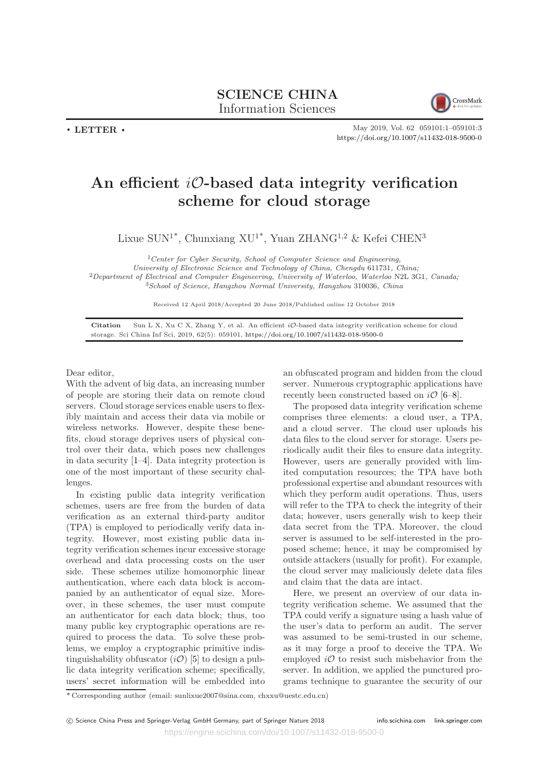

. LETTER .

May 2019, Vol. 62 059101:1–059101:3 <https://doi.org/10.1007/s11432-018-9500-0>

### An efficient  $i\mathcal{O}$ -based data integrity verification scheme for cloud storage

Lixue  $\text{SUM}^{1*},$  Chunxiang  $\text{XU}^{1*},$  Yuan ZHANG $^{1,2}$  & Kefei CHEN $^3$ 

Center for Cyber Security, School of Computer Science and Engineering, University of Electronic Science and Technology of China, Chengdu 611731, China; Department of Electrical and Computer Engineering, University of Waterloo, Waterloo N2L 3G1, Canada; School of Science, Hangzhou Normal University, Hangzhou 310036, China

Received 12 April 2018/Accepted 20 June 2018/Published online 12 October 2018

Citation Sun L X, Xu C X, Zhang Y, et al. An efficient iO-based data integrity verification scheme for cloud storage. Sci China Inf Sci, 2019, 62(5): 059101, <https://doi.org/10.1007/s11432-018-9500-0>

Dear editor,

With the advent of big data, an increasing number of people are storing their data on remote cloud servers. Cloud storage services enable users to flexibly maintain and access their data via mobile or wireless networks. However, despite these benefits, cloud storage deprives users of physical control over their data, which poses new challenges in data security [1–4]. Data integrity protection is one of the most important of these security challenges.

In existing public data integrity verification schemes, users are free from the burden of data verification as an external third-party auditor (TPA) is employed to periodically verify data integrity. However, most existing public data integrity verification schemes incur excessive storage overhead and data processing costs on the user side. These schemes utilize homomorphic linear authentication, where each data block is accompanied by an authenticator of equal size. Moreover, in these schemes, the user must compute an authenticator for each data block; thus, too many public key cryptographic operations are required to process the data. To solve these problems, we employ a cryptographic primitive indistinguishability obfuscator  $(i\mathcal{O})$  [5] to design a public data integrity verification scheme; specifically, users' secret information will be embedded into

an obfuscated program and hidden from the cloud server. Numerous cryptographic applications have recently been constructed based on  $i\mathcal{O}$  [6–8].

The proposed data integrity verification scheme comprises three elements: a cloud user, a TPA, and a cloud server. The cloud user uploads his data files to the cloud server for storage. Users periodically audit their files to ensure data integrity. However, users are generally provided with limited computation resources; the TPA have both professional expertise and abundant resources with which they perform audit operations. Thus, users will refer to the TPA to check the integrity of their data; however, users generally wish to keep their data secret from the TPA. Moreover, the cloud server is assumed to be self-interested in the proposed scheme; hence, it may be compromised by outside attackers (usually for profit). For example, the cloud server may maliciously delete data files and claim that the data are intact.

Here, we present an overview of our data integrity verification scheme. We assumed that the TPA could verify a signature using a hash value of the user's data to perform an audit. The server was assumed to be semi-trusted in our scheme, as it may forge a proof to deceive the TPA. We employed  $i\mathcal{O}$  to resist such misbehavior from the server. In addition, we applied the punctured programs technique to guarantee the security of our

<sup>\*</sup> Corresponding author (email: sunlixue2007@sina.com, chxxu@uestc.edu.cn)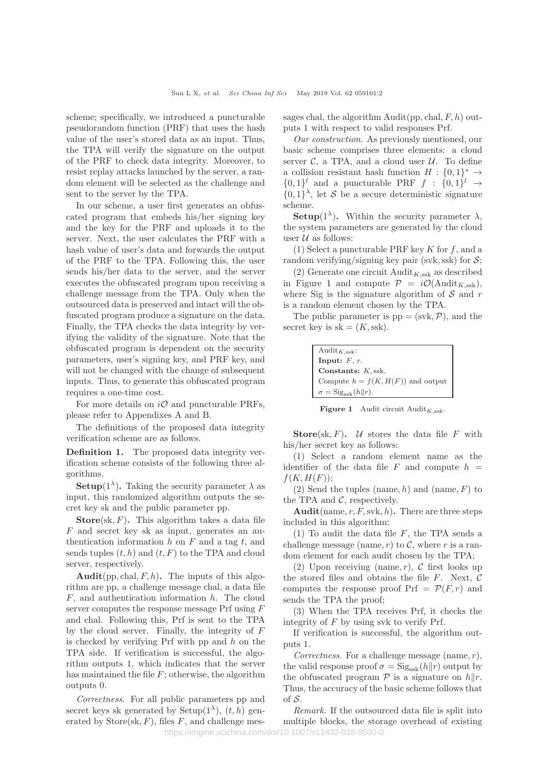scheme; specifically, we introduced a puncturable pseudorandom function (PRF) that uses the hash value of the user's stored data as an input. Thus, the TPA will verify the signature on the output of the PRF to check data integrity. Moreover, to resist replay attacks launched by the server, a random element will be selected as the challenge and sent to the server by the TPA.

In our scheme, a user first generates an obfuscated program that embeds his/her signing key and the key for the PRF and uploads it to the server. Next, the user calculates the PRF with a hash value of user's data and forwards the output of the PRF to the TPA. Following this, the user sends his/her data to the server, and the server executes the obfuscated program upon receiving a challenge message from the TPA. Only when the outsourced data is preserved and intact will the obfuscated program produce a signature on the data. Finally, the TPA checks the data integrity by verifying the validity of the signature. Note that the obfuscated program is dependent on the security parameters, user's signing key, and PRF key, and will not be changed with the change of subsequent inputs. Thus, to generate this obfuscated program requires a one-time cost.

For more details on  $i\mathcal{O}$  and puncturable PRFs, please refer to Appendixes A and B.

The definitions of the proposed data integrity verification scheme are as follows.

Definition 1. The proposed data integrity verification scheme consists of the following three algorithms.

**Setup**(1<sup> $\lambda$ </sup>). Taking the security parameter  $\lambda$  as input, this randomized algorithm outputs the secret key sk and the public parameter pp.

**Store**(sk,  $F$ ). This algorithm takes a data file F and secret key sk as input, generates an authentication information  $h$  on  $F$  and a tag  $t$ , and sends tuples  $(t, h)$  and  $(t, F)$  to the TPA and cloud server, respectively.

Audit(pp, chal,  $F, h$ ). The inputs of this algorithm are pp, a challenge message chal, a data file  $F$ , and authentication information  $h$ . The cloud server computes the response message Prf using F and chal. Following this, Prf is sent to the TPA by the cloud server. Finally, the integrity of F is checked by verifying  $Prf$  with pp and h on the TPA side. If verification is successful, the algorithm outputs 1, which indicates that the server has maintained the file  $F$ ; otherwise, the algorithm outputs 0.

Correctness. For all public parameters pp and secret keys sk generated by  $Setup(1^{\lambda}), (t, h)$  generated by  $Store(sk, F)$ , files F, and challenge messages chal, the algorithm  $\text{Audit}(pp, \text{chal}, F, h)$  outputs 1 with respect to valid responses Prf.

Our construction. As previously mentioned, our basic scheme comprises three elements: a cloud server  $\mathcal{C}$ , a TPA, and a cloud user  $\mathcal{U}$ . To define a collision resistant hash function  $H: \{0,1\}^* \to$  $\{0,1\}^l$  and a puncturable PRF  $f : \{0,1\}^l \rightarrow$  $\{0,1\}^{\lambda}$ , let S be a secure deterministic signature scheme.

**Setup**(1<sup> $\lambda$ </sup>). Within the security parameter  $\lambda$ , the system parameters are generated by the cloud user  $U$  as follows:

(1) Select a puncturable PRF key  $K$  for  $f$ , and a random verifying/signing key pair (svk, ssk) for  $S$ ;

(2) Generate one circuit  $\text{Audit}_{K,\text{ssk}}$  as described in Figure 1 and compute  $\mathcal{P} = i\mathcal{O}(\text{Audit}_{K,ssk}),$ where Sig is the signature algorithm of  $S$  and  $r$ is a random element chosen by the TPA.

The public parameter is  $pp = (svk, P)$ , and the secret key is  $sk = (K, ssk)$ .

| $\mathrm{Audit}_{K,\mathrm{ssk}}$ :       |
|-------------------------------------------|
| Input: $F, r$ .                           |
| Constants: $K$ , ssk.                     |
| Compute $h = f(K, H(F))$ and output       |
| $\sigma = \text{Sig}_{\text{ssk}}(h  r).$ |

**Figure 1** Audit circuit Audit<sub>K ssk</sub>.

**Store**(sk, F). U stores the data file F with his/her secret key as follows:

(1) Select a random element name as the identifier of the data file F and compute  $h =$  $f(K, H(F))$ ;

 $(2)$  Send the tuples (name, h) and (name, F) to the TPA and  $C$ , respectively.

Audit(name, r, F, svk, h). There are three steps included in this algorithm:

(1) To audit the data file  $F$ , the TPA sends a challenge message (name,  $r$ ) to  $C$ , where r is a random element for each audit chosen by the TPA;

(2) Upon receiving (name, r),  $\mathcal C$  first looks up the stored files and obtains the file  $F$ . Next,  $\mathcal C$ computes the response proof  $Prf = \mathcal{P}(F,r)$  and sends the TPA the proof;

(3) When the TPA receives Prf, it checks the integrity of  $F$  by using svk to verify Prf.

If verification is successful, the algorithm outputs 1.

Correctness. For a challenge message (name,  $r$ ), the valid response proof  $\sigma = \text{Sig}_{ssk}(h||r)$  output by the obfuscated program  $P$  is a signature on  $h||r$ . Thus, the accuracy of the basic scheme follows that of  $S$ .

Remark. If the outsourced data file is split into multiple blocks, the storage overhead of existing https://engine.scichina.com/doi/10.1007/s11432-018-9500-0